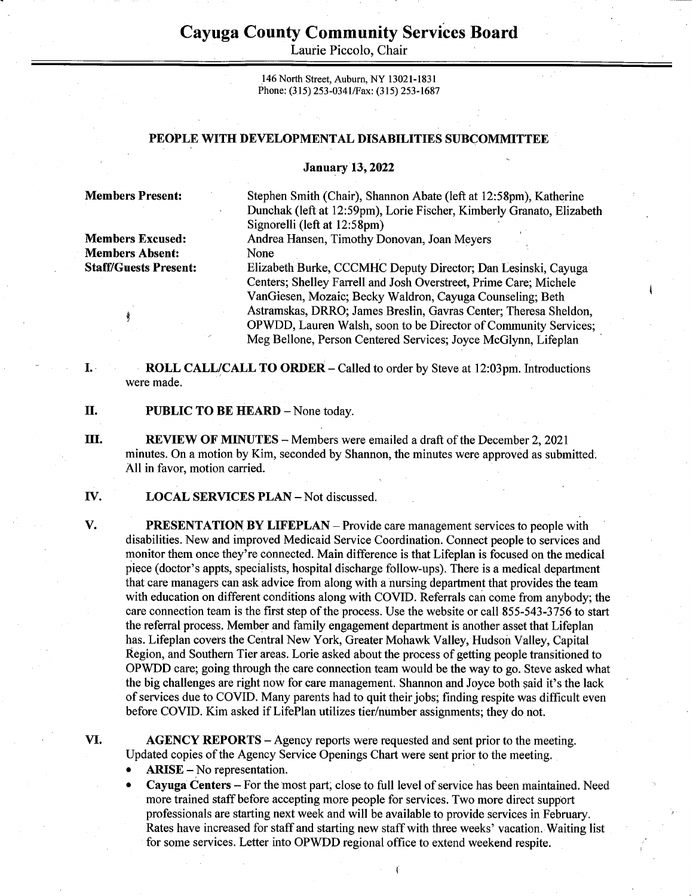## Cayuga County Community Services Board Cayuga County Comn<br>Laurie Picc Cayuga County Comn<br>Laurie Picc

Laurie Piccolo, Chair

146 North Street, Auburn, NY 13021-1831 Phone: (315) 253-034 1/Fax: (315) 253-1687

## PEOPLE WITH DEVELOPMENTAL DISABILITIES SUBCOMMITTEE

## January 13, 2022

Members Absent: None

Members Present: Stephen Smith (Chair), Shannon Abate (left at 12:58pm), Katherine Dunchak (left at 12:59pm), Lorie Fischer, Kimberly Granato, Elizabeth Signorelli (left at 12:58pm)

Members Excused: Andrea Hansen, Timothy Donovan, Joan Meyers

Staff/Guests Present: Elizabeth Burke, CCCMHC Deputy Director; Dan Lesinski, Cayuga Centers; Shelley Farrell and Josh Overstreet, Prime Care; Michele VanGiesen, Mozaic; Becky Waldron, Cayuga Counseling; Beth ; Astramskas, DRRO; James Breslin, Gavras Center; Theresa Sheldon, OPWDD, Lauren Walsh, soon to be Director of Community Services; Meg Bellone, Person Centered Services; Joyce McGlynn, Lifeplan

I. ROLL CALL/CALL TO ORDER – Called to order by Steve at 12:03pm. Introductions were made.

Π. PUBLIC TO BE HEARD - None today.

III. REVIEW OF MINUTES — Members were emailed a draft of the December 2, 2021 minutes. On a motion by Kim, seconded by Shannon, the minutes were approved as submitted. All in favor, motion carried.

IV. LOCAL SERVICES PLAN — Not discussed.

**PRESENTATION BY LIFEPLAN** – Provide care management services to people with disabilities. New and improved Medicaid Service Coordination. Connect people to services and monitor them once they're connected. Main difference is that Lifeplan is focused on the medical piece (doctor's appts, specialists, hospital discharge follow-ups). There is a medical department that care managers can ask advice from along with a nursing department that provides the team with education on different conditions along with COVID. Referrals can come from anybody; the care connection team is the first step of the process. Use the website or call 855-543-3756 to start the referral process. Member and family engagement department is another asset that Lifeplan has. Lifeplan covers the Central New York, Greater Mohawk Valley, Hudson Valley, Capital Région, and Southern Tier areas. Lorie asked about the process of getting people transitioned to OPWDD care; going through the care connection team would be the way to go. Steve asked what the big challenges are right now for care management. Shannon and Joyce both said it's the lack of services due to COVID. Many parents had to quit their jobs; finding respite was difficult even before COVID. Kim asked if LifePlan utilizes tier/number assignments; they do not.

VI.

V.

AGENCY REPORTS – Agency reports were requested and sent prior to the meeting. Updated copies of the Agency Service Openings Chart were sent prior to the meeting.

- $ARISE No representation.$
- e Cayuga Centers For the most part, close to full level of service has been maintained. Need more trained staff before accepting more people for services. Two more direct support professionals are starting next week and will be available to provide services in February. Rates have increased for staff and starting new staff with three weeks' vacation. Waiting list 'for some services. Letter into OPWDD regional office to extend weekend respite.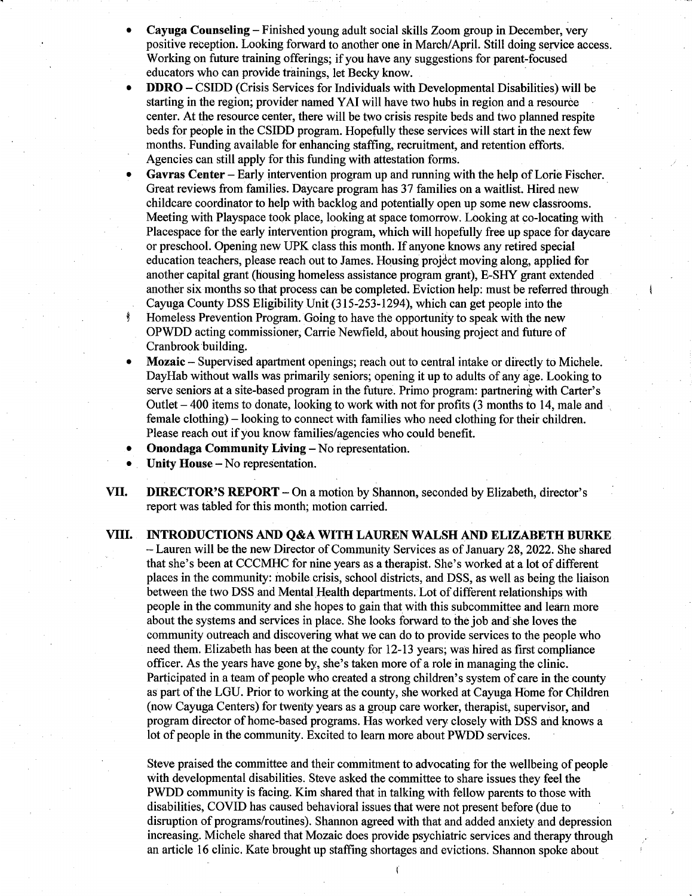- Cayuga Counseling Finished young adult social skills Zoom group in December, very positive reception. Looking forward to another one in March/April. Still doing service access. Working on future training offerings; if you have any suggestions for parent-focused educators who can provide trainings, let Becky know.
- DDRO CSIDD (Crisis Services for Individuals with Developmental Disabilities) will be starting in the region; provider named YAI will have two hubs in region and a resource center. At the resource center, there will be two crisis respite beds and two planned respite beds for people in the CSIDD program. Hopefully these services will start in the next few months. Funding available for enhancing staffing, recruitment, and retention efforts. Agencies can still apply for this funding with attestation forms.
- Gavras Center —Early intervention program up and running with the help of Lorie Fischer. Great reviews from families. Daycare program has 37 families on a waitlist. Hired new childcare coordinator to help with backlog and potentially open up some new classrooms. Meeting with Playspace took place, looking at space tomorrow. Looking at co-locating with Placespace for the early intervention program, which will hopefully free up space for daycare or preschool. Opening new UPK class this month. If anyone knows any retired special education teachers, please reach out to James. Housing projéct moving along, applied for another capital grant (housing homeless assistance program grant), E-SHY grant extended another six months so that process can be completed. Eviction help: must be referred through. Cayuga County DSS Eligibility Unit (315-253-1294), which can get people into the Homeless Prevention Program. Going to have the opportunity to speak with the new OPWDD acting commissioner, Carrie Newfield, about housing project and future of Cranbrook building.
- Mozaic Supervised apartment openings; reach out to central intake or directly to Michele. DayHab without walls was primarily seniors; opening it up to adults of any age. Looking to serve seniors at a site-based program in the future. Primo program: partnering with Carter's Outlet  $-400$  items to donate, looking to work with not for profits  $(3 \text{ months to } 14, \text{ male and})$ female clothing) — looking to connect with families who need clothing for their children. Please reach out if you know families/agencies who could benefit.
- Onondaga Community Living No representation.
- Unity House No representation.
- VII. DIRECTOR'S REPORT On a motion by Shannon, seconded by Elizabeth, director's report was tabled for this month; motion carried.
- VIII. INTRODUCTIONS AND Q&A WITH LAUREN WALSH AND ELIZABETH BURKE — Lauren will be the new Director of Community Services as of January 28, 2022. She shared that she's been at CCCMHC for nine years as a therapist. She's worked at a lot of different places in the community: mobile.crisis, school districts, and DSS, as well as being the liaison between the two DSS and Mental Health departments. Lot of different relationships with people in the community and she hopes to gain that with this subcommittee and learn more about the systems and services in place. She looks forward to the job and she loves the community outreach and discovering what we can do to provide services to the people who need them. Elizabeth has been at the county for 12-13 years; was hired as first compliance officer. As the years have gone by, she's taken more of a role in managing the clinic. Participated in a team of people who created a strong children's system of care in the county as part of the LGU. Prior to working at the county, she worked at Cayuga Home for Children (now Cayuga Centers) for twenty years as a group care worker, therapist, supervisor, and program director of home-based programs. Has worked very. closely with DSS and knows a lot of people in the community. Excited to learn more about PWDD services.

Steve praised the committee and their commitment to advocating for the wellbeing of people with developmental disabilities. Steve asked the committee to share issues they feel the PWDD community is facing. Kim shared that in talking with fellow parents to those with disabilities, COVID has caused behavioral issues that were not present before (due to disruption of programs/routines). Shannon agreed with that and added anxiety and depression increasing. Michele shared that Mozaic does provide psychiatric services and therapy through an article 16 clinic. Kate brought up staffing shortages and evictions. Shannon spoke about